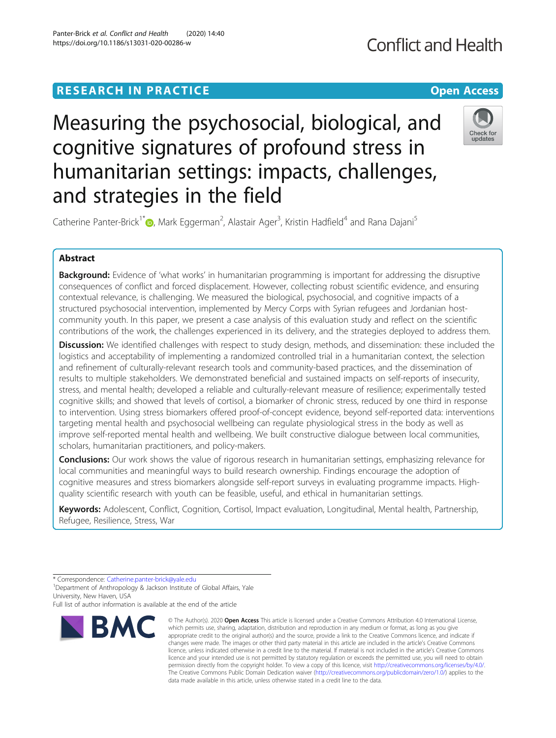# **RESEARCH IN PRACTICE CONSUMING THE OPEN ACCESS**

# Measuring the psychosocial, biological, and cognitive signatures of profound stress in humanitarian settings: impacts, challenges, and strategies in the field

Catherine Panter-Brick<sup>1\*</sup>iD[,](http://orcid.org/0000-0002-4635-2234) Mark Eggerman<sup>2</sup>, Alastair Ager<sup>3</sup>, Kristin Hadfield<sup>4</sup> and Rana Dajani<sup>5</sup>

## Abstract

**Background:** Evidence of 'what works' in humanitarian programming is important for addressing the disruptive consequences of conflict and forced displacement. However, collecting robust scientific evidence, and ensuring contextual relevance, is challenging. We measured the biological, psychosocial, and cognitive impacts of a structured psychosocial intervention, implemented by Mercy Corps with Syrian refugees and Jordanian hostcommunity youth. In this paper, we present a case analysis of this evaluation study and reflect on the scientific contributions of the work, the challenges experienced in its delivery, and the strategies deployed to address them.

Discussion: We identified challenges with respect to study design, methods, and dissemination: these included the logistics and acceptability of implementing a randomized controlled trial in a humanitarian context, the selection and refinement of culturally-relevant research tools and community-based practices, and the dissemination of results to multiple stakeholders. We demonstrated beneficial and sustained impacts on self-reports of insecurity, stress, and mental health; developed a reliable and culturally-relevant measure of resilience; experimentally tested cognitive skills; and showed that levels of cortisol, a biomarker of chronic stress, reduced by one third in response to intervention. Using stress biomarkers offered proof-of-concept evidence, beyond self-reported data: interventions targeting mental health and psychosocial wellbeing can regulate physiological stress in the body as well as improve self-reported mental health and wellbeing. We built constructive dialogue between local communities, scholars, humanitarian practitioners, and policy-makers.

**Conclusions:** Our work shows the value of rigorous research in humanitarian settings, emphasizing relevance for local communities and meaningful ways to build research ownership. Findings encourage the adoption of cognitive measures and stress biomarkers alongside self-report surveys in evaluating programme impacts. Highquality scientific research with youth can be feasible, useful, and ethical in humanitarian settings.

Keywords: Adolescent, Conflict, Cognition, Cortisol, Impact evaluation, Longitudinal, Mental health, Partnership, Refugee, Resilience, Stress, War

<sup>1</sup>Department of Anthropology & Jackson Institute of Global Affairs, Yale University, New Haven, USA

Full list of author information is available at the end of the article

#### Panter-Brick et al. Conflict and Health (2020) 14:40 https://doi.org/10.1186/s13031-020-00286-w

**BMC** 

Check for undates

<sup>\*</sup> Correspondence: [Catherine.panter-brick@yale.edu](mailto:Catherine.panter-brick@yale.edu) <sup>1</sup>

<sup>©</sup> The Author(s), 2020 **Open Access** This article is licensed under a Creative Commons Attribution 4.0 International License, which permits use, sharing, adaptation, distribution and reproduction in any medium or format, as long as you give appropriate credit to the original author(s) and the source, provide a link to the Creative Commons licence, and indicate if changes were made. The images or other third party material in this article are included in the article's Creative Commons licence, unless indicated otherwise in a credit line to the material. If material is not included in the article's Creative Commons licence and your intended use is not permitted by statutory regulation or exceeds the permitted use, you will need to obtain permission directly from the copyright holder. To view a copy of this licence, visit [http://creativecommons.org/licenses/by/4.0/.](http://creativecommons.org/licenses/by/4.0/) The Creative Commons Public Domain Dedication waiver [\(http://creativecommons.org/publicdomain/zero/1.0/](http://creativecommons.org/publicdomain/zero/1.0/)) applies to the data made available in this article, unless otherwise stated in a credit line to the data.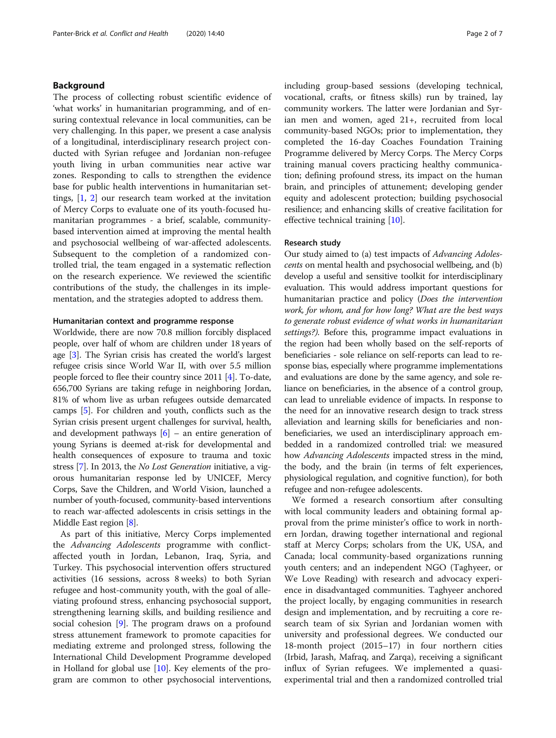#### Background

The process of collecting robust scientific evidence of 'what works' in humanitarian programming, and of ensuring contextual relevance in local communities, can be very challenging. In this paper, we present a case analysis of a longitudinal, interdisciplinary research project conducted with Syrian refugee and Jordanian non-refugee youth living in urban communities near active war zones. Responding to calls to strengthen the evidence base for public health interventions in humanitarian settings, [[1,](#page-6-0) [2\]](#page-6-0) our research team worked at the invitation of Mercy Corps to evaluate one of its youth-focused humanitarian programmes - a brief, scalable, communitybased intervention aimed at improving the mental health and psychosocial wellbeing of war-affected adolescents. Subsequent to the completion of a randomized controlled trial, the team engaged in a systematic reflection on the research experience. We reviewed the scientific contributions of the study, the challenges in its implementation, and the strategies adopted to address them.

#### Humanitarian context and programme response

Worldwide, there are now 70.8 million forcibly displaced people, over half of whom are children under 18 years of age [\[3\]](#page-6-0). The Syrian crisis has created the world's largest refugee crisis since World War II, with over 5.5 million people forced to flee their country since 2011 [[4\]](#page-6-0). To-date, 656,700 Syrians are taking refuge in neighboring Jordan, 81% of whom live as urban refugees outside demarcated camps [\[5](#page-6-0)]. For children and youth, conflicts such as the Syrian crisis present urgent challenges for survival, health, and development pathways  $[6]$  $[6]$  $[6]$  – an entire generation of young Syrians is deemed at-risk for developmental and health consequences of exposure to trauma and toxic stress [[7](#page-6-0)]. In 2013, the No Lost Generation initiative, a vigorous humanitarian response led by UNICEF, Mercy Corps, Save the Children, and World Vision, launched a number of youth-focused, community-based interventions to reach war-affected adolescents in crisis settings in the Middle East region [\[8\]](#page-6-0).

As part of this initiative, Mercy Corps implemented the Advancing Adolescents programme with conflictaffected youth in Jordan, Lebanon, Iraq, Syria, and Turkey. This psychosocial intervention offers structured activities (16 sessions, across 8 weeks) to both Syrian refugee and host-community youth, with the goal of alleviating profound stress, enhancing psychosocial support, strengthening learning skills, and building resilience and social cohesion [\[9](#page-6-0)]. The program draws on a profound stress attunement framework to promote capacities for mediating extreme and prolonged stress, following the International Child Development Programme developed in Holland for global use  $[10]$  $[10]$ . Key elements of the program are common to other psychosocial interventions, including group-based sessions (developing technical, vocational, crafts, or fitness skills) run by trained, lay community workers. The latter were Jordanian and Syrian men and women, aged 21+, recruited from local community-based NGOs; prior to implementation, they completed the 16-day Coaches Foundation Training Programme delivered by Mercy Corps. The Mercy Corps training manual covers practicing healthy communication; defining profound stress, its impact on the human brain, and principles of attunement; developing gender equity and adolescent protection; building psychosocial resilience; and enhancing skills of creative facilitation for effective technical training [[10\]](#page-6-0).

#### Research study

Our study aimed to (a) test impacts of Advancing Adolescents on mental health and psychosocial wellbeing, and (b) develop a useful and sensitive toolkit for interdisciplinary evaluation. This would address important questions for humanitarian practice and policy (Does the intervention work, for whom, and for how long? What are the best ways to generate robust evidence of what works in humanitarian settings?). Before this, programme impact evaluations in the region had been wholly based on the self-reports of beneficiaries - sole reliance on self-reports can lead to response bias, especially where programme implementations and evaluations are done by the same agency, and sole reliance on beneficiaries, in the absence of a control group, can lead to unreliable evidence of impacts. In response to the need for an innovative research design to track stress alleviation and learning skills for beneficiaries and nonbeneficiaries, we used an interdisciplinary approach embedded in a randomized controlled trial: we measured how Advancing Adolescents impacted stress in the mind, the body, and the brain (in terms of felt experiences, physiological regulation, and cognitive function), for both refugee and non-refugee adolescents.

We formed a research consortium after consulting with local community leaders and obtaining formal approval from the prime minister's office to work in northern Jordan, drawing together international and regional staff at Mercy Corps; scholars from the UK, USA, and Canada; local community-based organizations running youth centers; and an independent NGO (Taghyeer, or We Love Reading) with research and advocacy experience in disadvantaged communities. Taghyeer anchored the project locally, by engaging communities in research design and implementation, and by recruiting a core research team of six Syrian and Jordanian women with university and professional degrees. We conducted our 18-month project (2015–17) in four northern cities (Irbid, Jarash, Mafraq, and Zarqa), receiving a significant influx of Syrian refugees. We implemented a quasiexperimental trial and then a randomized controlled trial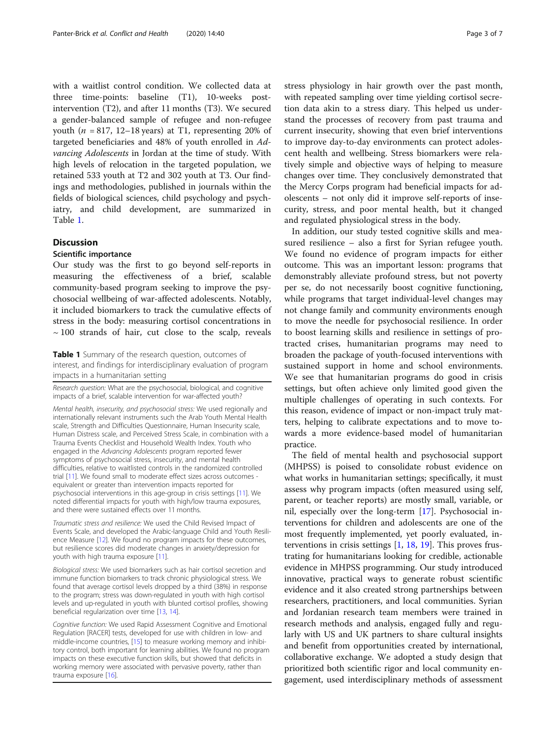with a waitlist control condition. We collected data at three time-points: baseline (T1), 10-weeks postintervention (T2), and after 11 months (T3). We secured a gender-balanced sample of refugee and non-refugee youth ( $n = 817$ , 12–18 years) at T1, representing 20% of targeted beneficiaries and 48% of youth enrolled in Advancing Adolescents in Jordan at the time of study. With high levels of relocation in the targeted population, we retained 533 youth at T2 and 302 youth at T3. Our findings and methodologies, published in journals within the fields of biological sciences, child psychology and psychiatry, and child development, are summarized in Table 1.

#### **Discussion**

#### Scientific importance

Our study was the first to go beyond self-reports in measuring the effectiveness of a brief, scalable community-based program seeking to improve the psychosocial wellbeing of war-affected adolescents. Notably, it included biomarkers to track the cumulative effects of stress in the body: measuring cortisol concentrations in  $\sim$  100 strands of hair, cut close to the scalp, reveals

Table 1 Summary of the research question, outcomes of interest, and findings for interdisciplinary evaluation of program impacts in a humanitarian setting

Research question: What are the psychosocial, biological, and cognitive impacts of a brief, scalable intervention for war-affected youth?

Mental health, insecurity, and psychosocial stress: We used regionally and internationally relevant instruments such the Arab Youth Mental Health scale, Strength and Difficulties Questionnaire, Human Insecurity scale, Human Distress scale, and Perceived Stress Scale, in combination with a Trauma Events Checklist and Household Wealth Index. Youth who engaged in the Advancing Adolescents program reported fewer symptoms of psychosocial stress, insecurity, and mental health difficulties, relative to waitlisted controls in the randomized controlled trial [[11](#page-6-0)]. We found small to moderate effect sizes across outcomes equivalent or greater than intervention impacts reported for psychosocial interventions in this age-group in crisis settings [[11](#page-6-0)]. We noted differential impacts for youth with high/low trauma exposures, and there were sustained effects over 11 months.

Traumatic stress and resilience: We used the Child Revised Impact of Events Scale, and developed the Arabic-language Child and Youth Resilience Measure [[12](#page-6-0)]. We found no program impacts for these outcomes, but resilience scores did moderate changes in anxiety/depression for youth with high trauma exposure [\[11\]](#page-6-0).

Biological stress: We used biomarkers such as hair cortisol secretion and immune function biomarkers to track chronic physiological stress. We found that average cortisol levels dropped by a third (38%) in response to the program; stress was down-regulated in youth with high cortisol levels and up-regulated in youth with blunted cortisol profiles, showing beneficial regularization over time [\[13,](#page-6-0) [14](#page-6-0)].

Cognitive function: We used Rapid Assessment Cognitive and Emotional Regulation [RACER] tests, developed for use with children in low- and middle-income countries, [[15](#page-6-0)] to measure working memory and inhibitory control, both important for learning abilities. We found no program impacts on these executive function skills, but showed that deficits in working memory were associated with pervasive poverty, rather than trauma exposure [\[16\]](#page-6-0).

stress physiology in hair growth over the past month, with repeated sampling over time yielding cortisol secretion data akin to a stress diary. This helped us understand the processes of recovery from past trauma and current insecurity, showing that even brief interventions to improve day-to-day environments can protect adolescent health and wellbeing. Stress biomarkers were relatively simple and objective ways of helping to measure changes over time. They conclusively demonstrated that the Mercy Corps program had beneficial impacts for adolescents – not only did it improve self-reports of insecurity, stress, and poor mental health, but it changed and regulated physiological stress in the body.

In addition, our study tested cognitive skills and measured resilience – also a first for Syrian refugee youth. We found no evidence of program impacts for either outcome. This was an important lesson: programs that demonstrably alleviate profound stress, but not poverty per se, do not necessarily boost cognitive functioning, while programs that target individual-level changes may not change family and community environments enough to move the needle for psychosocial resilience. In order to boost learning skills and resilience in settings of protracted crises, humanitarian programs may need to broaden the package of youth-focused interventions with sustained support in home and school environments. We see that humanitarian programs do good in crisis settings, but often achieve only limited good given the multiple challenges of operating in such contexts. For this reason, evidence of impact or non-impact truly matters, helping to calibrate expectations and to move towards a more evidence-based model of humanitarian practice.

The field of mental health and psychosocial support (MHPSS) is poised to consolidate robust evidence on what works in humanitarian settings; specifically, it must assess why program impacts (often measured using self, parent, or teacher reports) are mostly small, variable, or nil, especially over the long-term [[17\]](#page-6-0). Psychosocial interventions for children and adolescents are one of the most frequently implemented, yet poorly evaluated, interventions in crisis settings [\[1](#page-6-0), [18](#page-6-0), [19](#page-6-0)]. This proves frustrating for humanitarians looking for credible, actionable evidence in MHPSS programming. Our study introduced innovative, practical ways to generate robust scientific evidence and it also created strong partnerships between researchers, practitioners, and local communities. Syrian and Jordanian research team members were trained in research methods and analysis, engaged fully and regularly with US and UK partners to share cultural insights and benefit from opportunities created by international, collaborative exchange. We adopted a study design that prioritized both scientific rigor and local community engagement, used interdisciplinary methods of assessment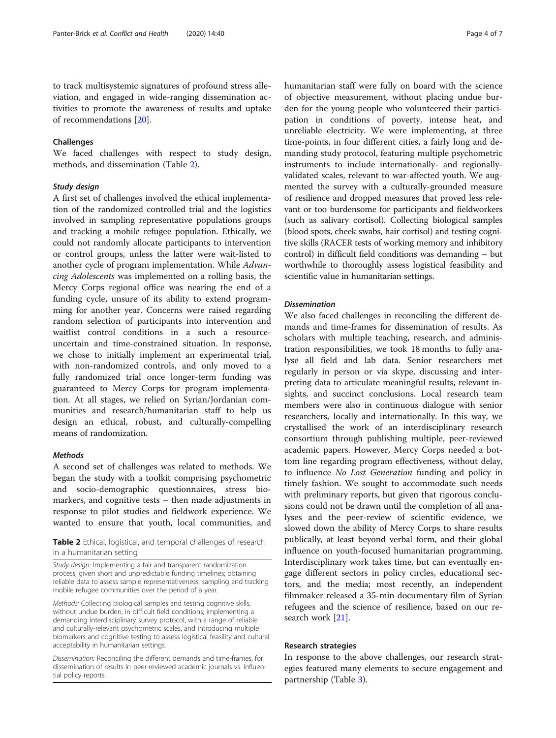to track multisystemic signatures of profound stress alleviation, and engaged in wide-ranging dissemination activities to promote the awareness of results and uptake of recommendations [\[20\]](#page-6-0).

#### Challenges

We faced challenges with respect to study design, methods, and dissemination (Table 2).

#### Study design

A first set of challenges involved the ethical implementation of the randomized controlled trial and the logistics involved in sampling representative populations groups and tracking a mobile refugee population. Ethically, we could not randomly allocate participants to intervention or control groups, unless the latter were wait-listed to another cycle of program implementation. While Advancing Adolescents was implemented on a rolling basis, the Mercy Corps regional office was nearing the end of a funding cycle, unsure of its ability to extend programming for another year. Concerns were raised regarding random selection of participants into intervention and waitlist control conditions in a such a resourceuncertain and time-constrained situation. In response, we chose to initially implement an experimental trial, with non-randomized controls, and only moved to a fully randomized trial once longer-term funding was guaranteed to Mercy Corps for program implementation. At all stages, we relied on Syrian/Jordanian communities and research/humanitarian staff to help us design an ethical, robust, and culturally-compelling means of randomization.

#### **Methods**

A second set of challenges was related to methods. We began the study with a toolkit comprising psychometric and socio-demographic questionnaires, stress biomarkers, and cognitive tests – then made adjustments in response to pilot studies and fieldwork experience. We wanted to ensure that youth, local communities, and

**Table 2** Ethical, logistical, and temporal challenges of research in a humanitarian setting

Study design: Implementing a fair and transparent randomization process, given short and unpredictable funding timelines; obtaining reliable data to assess sample representativeness; sampling and tracking mobile refugee communities over the period of a year.

Methods: Collecting biological samples and testing cognitive skills, without undue burden, in difficult field conditions; implementing a demanding interdisciplinary survey protocol, with a range of reliable and culturally-relevant psychometric scales, and introducing multiple biomarkers and cognitive testing to assess logistical feasility and cultural acceptability in humanitarian settings.

Dissemination: Reconciling the different demands and time-frames, for dissemination of results in peer-reviewed academic journals vs. influential policy reports.

humanitarian staff were fully on board with the science of objective measurement, without placing undue burden for the young people who volunteered their participation in conditions of poverty, intense heat, and unreliable electricity. We were implementing, at three time-points, in four different cities, a fairly long and demanding study protocol, featuring multiple psychometric instruments to include internationally- and regionallyvalidated scales, relevant to war-affected youth. We augmented the survey with a culturally-grounded measure of resilience and dropped measures that proved less relevant or too burdensome for participants and fieldworkers (such as salivary cortisol). Collecting biological samples (blood spots, cheek swabs, hair cortisol) and testing cognitive skills (RACER tests of working memory and inhibitory control) in difficult field conditions was demanding – but worthwhile to thoroughly assess logistical feasibility and scientific value in humanitarian settings.

#### Dissemination

We also faced challenges in reconciling the different demands and time-frames for dissemination of results. As scholars with multiple teaching, research, and administration responsibilities, we took 18 months to fully analyse all field and lab data. Senior researchers met regularly in person or via skype, discussing and interpreting data to articulate meaningful results, relevant insights, and succinct conclusions. Local research team members were also in continuous dialogue with senior researchers, locally and internationally. In this way, we crystallised the work of an interdisciplinary research consortium through publishing multiple, peer-reviewed academic papers. However, Mercy Corps needed a bottom line regarding program effectiveness, without delay, to influence No Lost Generation funding and policy in timely fashion. We sought to accommodate such needs with preliminary reports, but given that rigorous conclusions could not be drawn until the completion of all analyses and the peer-review of scientific evidence, we slowed down the ability of Mercy Corps to share results publically, at least beyond verbal form, and their global influence on youth-focused humanitarian programming. Interdisciplinary work takes time, but can eventually engage different sectors in policy circles, educational sectors, and the media; most recently, an independent filmmaker released a 35-min documentary film of Syrian refugees and the science of resilience, based on our research work [\[21](#page-6-0)].

#### Research strategies

In response to the above challenges, our research strategies featured many elements to secure engagement and partnership (Table [3\)](#page-4-0).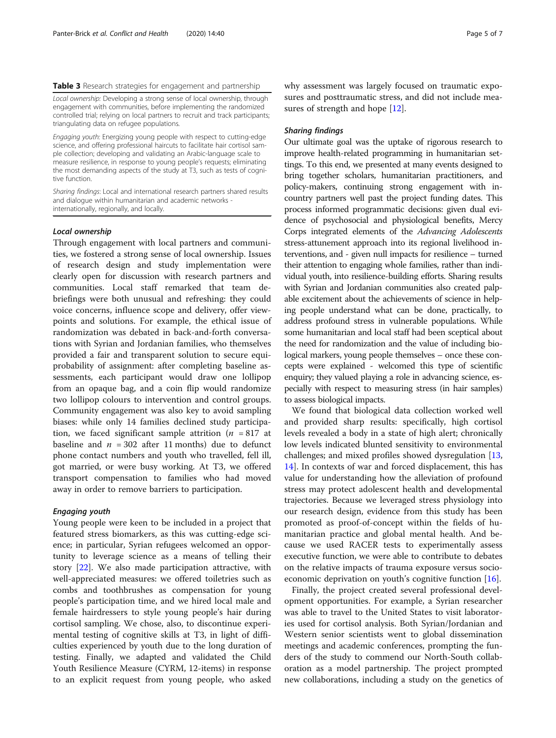#### <span id="page-4-0"></span>Table 3 Research strategies for engagement and partnership

Local ownership: Developing a strong sense of local ownership, through engagement with communities, before implementing the randomized controlled trial; relying on local partners to recruit and track participants; triangulating data on refugee populations.

Engaging youth: Energizing young people with respect to cutting-edge science, and offering professional haircuts to facilitate hair cortisol sample collection; developing and validating an Arabic-language scale to measure resilience, in response to young people's requests; eliminating the most demanding aspects of the study at T3, such as tests of cognitive function.

Sharing findings: Local and international research partners shared results and dialogue within humanitarian and academic networks internationally, regionally, and locally.

#### Local ownership

Through engagement with local partners and communities, we fostered a strong sense of local ownership. Issues of research design and study implementation were clearly open for discussion with research partners and communities. Local staff remarked that team debriefings were both unusual and refreshing: they could voice concerns, influence scope and delivery, offer viewpoints and solutions. For example, the ethical issue of randomization was debated in back-and-forth conversations with Syrian and Jordanian families, who themselves provided a fair and transparent solution to secure equiprobability of assignment: after completing baseline assessments, each participant would draw one lollipop from an opaque bag, and a coin flip would randomize two lollipop colours to intervention and control groups. Community engagement was also key to avoid sampling biases: while only 14 families declined study participation, we faced significant sample attrition ( $n = 817$  at baseline and  $n = 302$  after 11 months) due to defunct phone contact numbers and youth who travelled, fell ill, got married, or were busy working. At T3, we offered transport compensation to families who had moved away in order to remove barriers to participation.

#### Engaging youth

Young people were keen to be included in a project that featured stress biomarkers, as this was cutting-edge science; in particular, Syrian refugees welcomed an opportunity to leverage science as a means of telling their story [[22\]](#page-6-0). We also made participation attractive, with well-appreciated measures: we offered toiletries such as combs and toothbrushes as compensation for young people's participation time, and we hired local male and female hairdressers to style young people's hair during cortisol sampling. We chose, also, to discontinue experimental testing of cognitive skills at T3, in light of difficulties experienced by youth due to the long duration of testing. Finally, we adapted and validated the Child Youth Resilience Measure (CYRM, 12-items) in response to an explicit request from young people, who asked why assessment was largely focused on traumatic exposures and posttraumatic stress, and did not include mea-sures of strength and hope [\[12](#page-6-0)].

#### Sharing findings

Our ultimate goal was the uptake of rigorous research to improve health-related programming in humanitarian settings. To this end, we presented at many events designed to bring together scholars, humanitarian practitioners, and policy-makers, continuing strong engagement with incountry partners well past the project funding dates. This process informed programmatic decisions: given dual evidence of psychosocial and physiological benefits, Mercy Corps integrated elements of the Advancing Adolescents stress-attunement approach into its regional livelihood interventions, and - given null impacts for resilience – turned their attention to engaging whole families, rather than individual youth, into resilience-building efforts. Sharing results with Syrian and Jordanian communities also created palpable excitement about the achievements of science in helping people understand what can be done, practically, to address profound stress in vulnerable populations. While some humanitarian and local staff had been sceptical about the need for randomization and the value of including biological markers, young people themselves – once these concepts were explained - welcomed this type of scientific enquiry; they valued playing a role in advancing science, especially with respect to measuring stress (in hair samples) to assess biological impacts.

We found that biological data collection worked well and provided sharp results: specifically, high cortisol levels revealed a body in a state of high alert; chronically low levels indicated blunted sensitivity to environmental challenges; and mixed profiles showed dysregulation [[13](#page-6-0), [14\]](#page-6-0). In contexts of war and forced displacement, this has value for understanding how the alleviation of profound stress may protect adolescent health and developmental trajectories. Because we leveraged stress physiology into our research design, evidence from this study has been promoted as proof-of-concept within the fields of humanitarian practice and global mental health. And because we used RACER tests to experimentally assess executive function, we were able to contribute to debates on the relative impacts of trauma exposure versus socioeconomic deprivation on youth's cognitive function [[16\]](#page-6-0).

Finally, the project created several professional development opportunities. For example, a Syrian researcher was able to travel to the United States to visit laboratories used for cortisol analysis. Both Syrian/Jordanian and Western senior scientists went to global dissemination meetings and academic conferences, prompting the funders of the study to commend our North-South collaboration as a model partnership. The project prompted new collaborations, including a study on the genetics of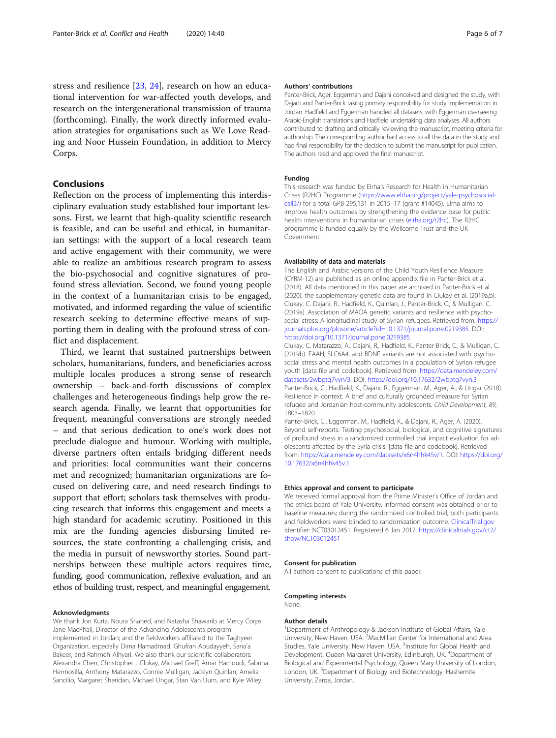stress and resilience [\[23](#page-6-0), [24](#page-6-0)], research on how an educational intervention for war-affected youth develops, and research on the intergenerational transmission of trauma (forthcoming). Finally, the work directly informed evaluation strategies for organisations such as We Love Reading and Noor Hussein Foundation, in addition to Mercy Corps.

#### Conclusions

Reflection on the process of implementing this interdisciplinary evaluation study established four important lessons. First, we learnt that high-quality scientific research is feasible, and can be useful and ethical, in humanitarian settings: with the support of a local research team and active engagement with their community, we were able to realize an ambitious research program to assess the bio-psychosocial and cognitive signatures of profound stress alleviation. Second, we found young people in the context of a humanitarian crisis to be engaged, motivated, and informed regarding the value of scientific research seeking to determine effective means of supporting them in dealing with the profound stress of conflict and displacement.

Third, we learnt that sustained partnerships between scholars, humanitarians, funders, and beneficiaries across multiple locales produces a strong sense of research ownership – back-and-forth discussions of complex challenges and heterogeneous findings help grow the research agenda. Finally, we learnt that opportunities for frequent, meaningful conversations are strongly needed – and that serious dedication to one's work does not preclude dialogue and humour. Working with multiple, diverse partners often entails bridging different needs and priorities: local communities want their concerns met and recognized; humanitarian organizations are focused on delivering care, and need research findings to support that effort; scholars task themselves with producing research that informs this engagement and meets a high standard for academic scrutiny. Positioned in this mix are the funding agencies disbursing limited resources, the state confronting a challenging crisis, and the media in pursuit of newsworthy stories. Sound partnerships between these multiple actors requires time, funding, good communication, reflexive evaluation, and an ethos of building trust, respect, and meaningful engagement.

#### Acknowledgments

We thank Jon Kurtz, Noura Shahed, and Natasha Shawarib at Mercy Corps; Jane MacPhail, Director of the Advancing Adolescents program implemented in Jordan; and the fieldworkers affiliated to the Taghyeer Organization, especially Dima Hamadmad, Ghufran Abudayyeh, Sana'a Bakeer, and Rahmeh Alhyari. We also thank our scientific collaborators: Alexandra Chen, Christopher J Clukay, Michael Greff, Amar Hamoudi, Sabrina Hermosilla, Anthony Matarazzo, Connie Mulligan, Jacklyn Quinlan, Amelia Sancilio, Margaret Sheridan, Michael Ungar, Stan Van Uum, and Kyle Wiley.

#### Authors' contributions

Panter-Brick, Ager, Eggerman and Dajani conceived and designed the study, with Dajani and Panter-Brick taking primary responsibility for study implementation in Jordan. Hadfield and Eggerman handled all datasets, with Eggerman overseeing Arabic-English translations and Hadfield undertaking data analyses. All authors contributed to drafting and critically reviewing the manuscript, meeting criteria for authorship. The corresponding author had access to all the data in the study and had final responsibility for the decision to submit the manuscript for publication. The authors read and approved the final manuscript.

#### Funding

This research was funded by Elrha's Research for Health in Humanitarian Crises (R2HC) Programme ([https://www.elrha.org/project/yale-psychosocial](https://www.elrha.org/project/yale-psychosocial-call2/)[call2/\)](https://www.elrha.org/project/yale-psychosocial-call2/) for a total GPB 295,131 in 2015–17 (grant #14045). Elrha aims to improve health outcomes by strengthening the evidence base for public health interventions in humanitarian crises [\(elrha.org/r2hc\)](http://elrha.org/r2hc). The R2HC programme is funded equally by the Wellcome Trust and the UK Government.

#### Availability of data and materials

The English and Arabic versions of the Child Youth Resilience Measure (CYRM-12) are published as an online appendix file in Panter-Brick et al. (2018). All data mentioned in this paper are archived in Panter-Brick et al. (2020); the supplementary genetic data are found in Clukay et al. (2019a,b). Clukay, C. Dajani, R., Hadfield, K., Quinlan, J., Panter-Brick, C., & Mulligan, C. (2019a). Association of MAOA genetic variants and resilience with psychosocial stress: A longitudinal study of Syrian refugees. Retrieved from: [https://](https://journals.plos.org/plosone/article?id=10.1371/journal.pone.0219385) [journals.plos.org/plosone/article?id=10.1371/journal.pone.0219385](https://journals.plos.org/plosone/article?id=10.1371/journal.pone.0219385). DOI: <https://doi.org/10.1371/journal.pone.0219385>

Clukay, C. Matarazzo, A., Dajani, R., Hadfield, K., Panter-Brick, C., & Mulligan, C. (2019b). FAAH, SLC6A4, and BDNF variants are not associated with psychosocial stress and mental health outcomes in a population of Syrian refugee youth [data file and codebook]. Retrieved from: [https://data.mendeley.com/](https://data.mendeley.com/datasets/2wbptg7vyn/3) [datasets/2wbptg7vyn/3.](https://data.mendeley.com/datasets/2wbptg7vyn/3) DOI: <https://doi.org/10.17632/2wbptg7vyn.3> Panter-Brick, C., Hadfield, K., Dajani, R., Eggerman, M., Ager, A., & Ungar (2018). Resilience in context: A brief and culturally grounded measure for Syrian refugee and Jordanian host-community adolescents. Child Development, 89, 1803–1820.

Panter-Brick, C., Eggerman, M., Hadfield, K., & Dajani, R., Ager, A. (2020). Beyond self-reports: Testing psychosocial, biological, and cognitive signatures of profound stress in a randomized controlled trial impact evaluation for adolescents affected by the Syria crisis. [data file and codebook]. Retrieved from: [https://data.mendeley.com/datasets/x6n4hhk45v/1.](https://data.mendeley.com/datasets/x6n4hhk45v/1) DOI: [https://doi.org/](https://doi.org/10.17632/x6n4hhk45v.1) [10.17632/x6n4hhk45v.1](https://doi.org/10.17632/x6n4hhk45v.1)

#### Ethics approval and consent to participate

We received formal approval from the Prime Minister's Office of Jordan and the ethics board of Yale University. Informed consent was obtained prior to baseline measures; during the randomized controlled trial, both participants and fieldworkers were blinded to randomization outcome. [ClinicalTrial.gov](http://clinicaltrial.gov) Identifier: NCT03012451. Registered 6 Jan 2017. [https://clinicaltrials.gov/ct2/](https://clinicaltrials.gov/ct2/show/NCT03012451) [show/NCT03012451](https://clinicaltrials.gov/ct2/show/NCT03012451)

#### Consent for publication

All authors consent to publications of this paper.

### Competing interests

None.

#### Author details

<sup>1</sup>Department of Anthropology & Jackson Institute of Global Affairs, Yale University, New Haven, USA.<sup>2</sup> MacMillan Center for International and Area Studies, Yale University, New Haven, USA.<sup>3</sup>Institute for Global Health and Development, Queen Margaret University, Edinburgh, UK. <sup>4</sup>Department of Biological and Experimental Psychology, Queen Mary University of London, London, UK.<sup>5</sup> Department of Biology and Biotechnology, Hashemite University, Zarqa, Jordan.